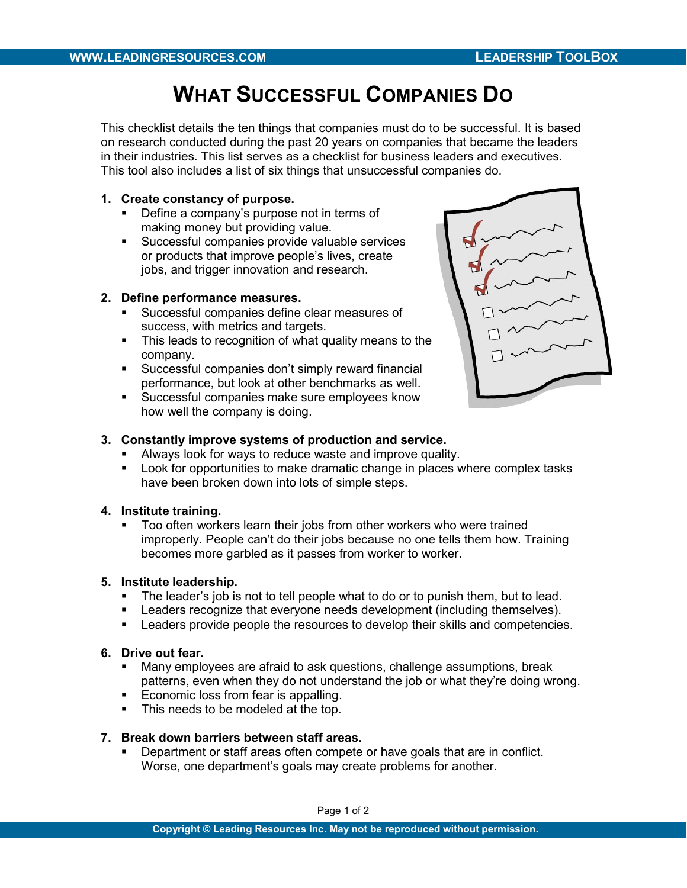# WHAT SUCCESSFUL COMPANIES DO

This checklist details the ten things that companies must do to be successful. It is based on research conducted during the past 20 years on companies that became the leaders in their industries. This list serves as a checklist for business leaders and executives. This tool also includes a list of six things that unsuccessful companies do.

## 1. Create constancy of purpose.

- Define a company's purpose not in terms of making money but providing value.
- Successful companies provide valuable services or products that improve people's lives, create jobs, and trigger innovation and research.

## 2. Define performance measures.

- Successful companies define clear measures of success, with metrics and targets.
- This leads to recognition of what quality means to the company.
- Successful companies don't simply reward financial performance, but look at other benchmarks as well.
- **Successful companies make sure employees know** how well the company is doing.



## 3. Constantly improve systems of production and service.

- Always look for ways to reduce waste and improve quality.
- **Look for opportunities to make dramatic change in places where complex tasks** have been broken down into lots of simple steps.

## 4. Institute training.

 Too often workers learn their jobs from other workers who were trained improperly. People can't do their jobs because no one tells them how. Training becomes more garbled as it passes from worker to worker.

## 5. Institute leadership.

- The leader's job is not to tell people what to do or to punish them, but to lead.
- **EXEC** Leaders recognize that everyone needs development (including themselves).
- **EXECTE 1** Leaders provide people the resources to develop their skills and competencies.

#### 6. Drive out fear.

- Many employees are afraid to ask questions, challenge assumptions, break patterns, even when they do not understand the job or what they're doing wrong.
- Patterns, even when they added to the
- This needs to be modeled at the top.

#### 7. Break down barriers between staff areas.

**Department or staff areas often compete or have goals that are in conflict.** Worse, one department's goals may create problems for another.